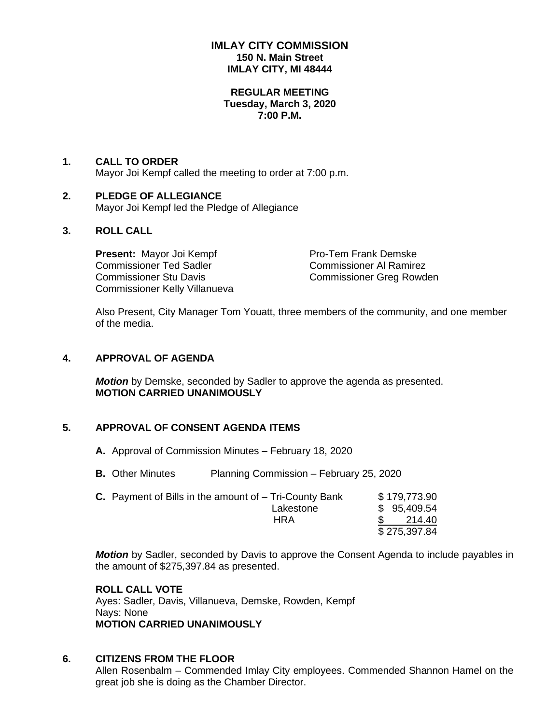# **IMLAY CITY COMMISSION 150 N. Main Street IMLAY CITY, MI 48444**

#### **REGULAR MEETING Tuesday, March 3, 2020 7:00 P.M.**

# **1. CALL TO ORDER** Mayor Joi Kempf called the meeting to order at 7:00 p.m.

## **2. PLEDGE OF ALLEGIANCE** Mayor Joi Kempf led the Pledge of Allegiance

# **3. ROLL CALL**

**Present:** Mayor Joi Kempf Pro-Tem Frank Demske Commissioner Ted Sadler Commissioner Al Ramirez Commissioner Stu Davis Commissioner Greg Rowden Commissioner Kelly Villanueva

Also Present, City Manager Tom Youatt, three members of the community, and one member of the media.

# **4. APPROVAL OF AGENDA**

*Motion* by Demske, seconded by Sadler to approve the agenda as presented. **MOTION CARRIED UNANIMOUSLY**

# **5. APPROVAL OF CONSENT AGENDA ITEMS**

- **A.** Approval of Commission Minutes February 18, 2020
- **B.** Other Minutes Planning Commission February 25, 2020

| <b>C.</b> Payment of Bills in the amount of $-$ Tri-County Bank | \$179,773.90 |
|-----------------------------------------------------------------|--------------|
| Lakestone                                                       | \$95,409.54  |
| HRA                                                             | 214.40       |
|                                                                 | \$275,397.84 |

*Motion* by Sadler, seconded by Davis to approve the Consent Agenda to include payables in the amount of \$275,397.84 as presented.

### **ROLL CALL VOTE**

Ayes: Sadler, Davis, Villanueva, Demske, Rowden, Kempf Nays: None **MOTION CARRIED UNANIMOUSLY**

# **6. CITIZENS FROM THE FLOOR**

Allen Rosenbalm – Commended Imlay City employees. Commended Shannon Hamel on the great job she is doing as the Chamber Director.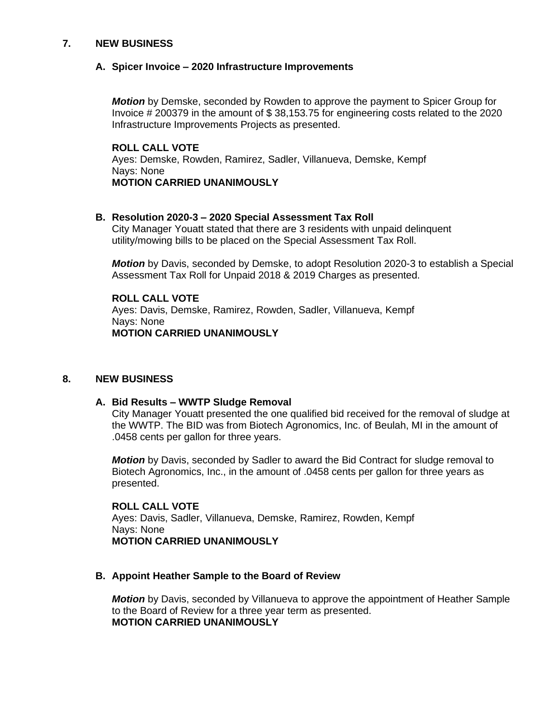### **7. NEW BUSINESS**

### **A. Spicer Invoice – 2020 Infrastructure Improvements**

*Motion* by Demske, seconded by Rowden to approve the payment to Spicer Group for Invoice # 200379 in the amount of \$ 38,153.75 for engineering costs related to the 2020 Infrastructure Improvements Projects as presented.

**ROLL CALL VOTE** Ayes: Demske, Rowden, Ramirez, Sadler, Villanueva, Demske, Kempf Nays: None **MOTION CARRIED UNANIMOUSLY**

#### **B. Resolution 2020-3 – 2020 Special Assessment Tax Roll**

City Manager Youatt stated that there are 3 residents with unpaid delinquent utility/mowing bills to be placed on the Special Assessment Tax Roll.

*Motion* by Davis, seconded by Demske, to adopt Resolution 2020-3 to establish a Special Assessment Tax Roll for Unpaid 2018 & 2019 Charges as presented.

**ROLL CALL VOTE** Ayes: Davis, Demske, Ramirez, Rowden, Sadler, Villanueva, Kempf Nays: None **MOTION CARRIED UNANIMOUSLY**

### **8. NEW BUSINESS**

### **A. Bid Results – WWTP Sludge Removal**

City Manager Youatt presented the one qualified bid received for the removal of sludge at the WWTP. The BID was from Biotech Agronomics, Inc. of Beulah, MI in the amount of .0458 cents per gallon for three years.

*Motion* by Davis, seconded by Sadler to award the Bid Contract for sludge removal to Biotech Agronomics, Inc., in the amount of .0458 cents per gallon for three years as presented.

#### **ROLL CALL VOTE**

Ayes: Davis, Sadler, Villanueva, Demske, Ramirez, Rowden, Kempf Nays: None **MOTION CARRIED UNANIMOUSLY**

### **B. Appoint Heather Sample to the Board of Review**

*Motion* by Davis, seconded by Villanueva to approve the appointment of Heather Sample to the Board of Review for a three year term as presented. **MOTION CARRIED UNANIMOUSLY**